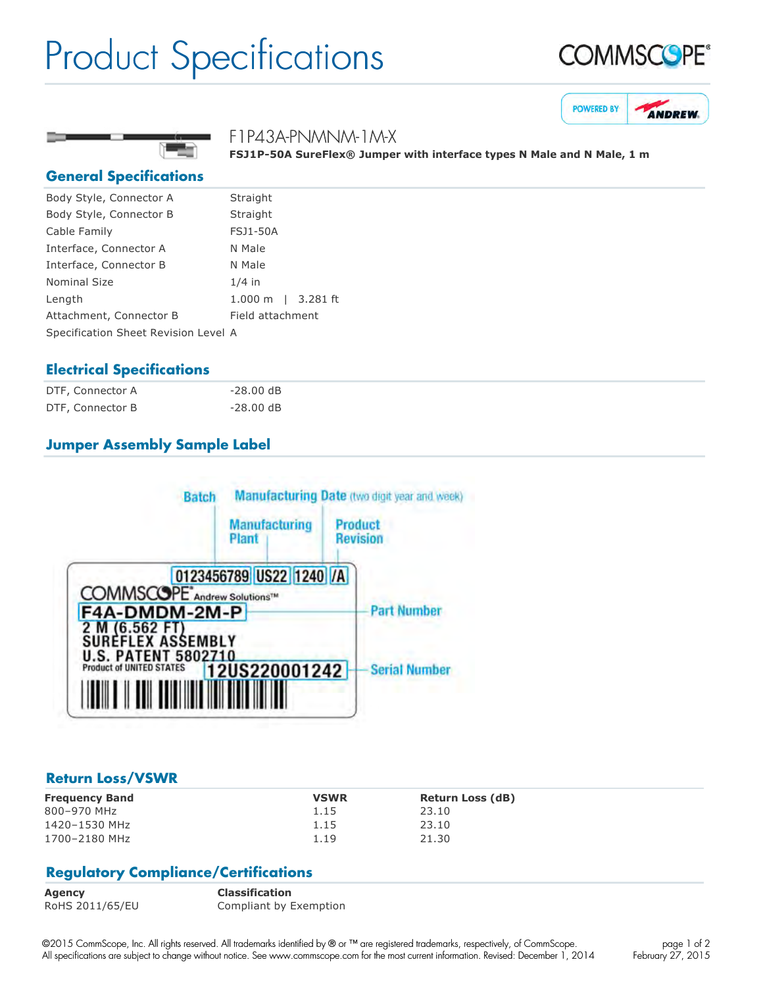# Product Specifications







F1P43A-PNMNM-1M-X

FSJ1P-50A SureFlex<sup>®</sup> Jumper with interface types N Male and N Male, 1 m

#### **General Specifications**

| Body Style, Connector A              | Straight                      |
|--------------------------------------|-------------------------------|
| Body Style, Connector B              | Straight                      |
| Cable Family                         | <b>FSJ1-50A</b>               |
| Interface, Connector A               | N Male                        |
| Interface, Connector B               | N Male                        |
| Nominal Size                         | $1/4$ in                      |
| Length                               | 3.281 ft<br>$1.000 \;{\rm m}$ |
| Attachment, Connector B              | Field attachment              |
| Specification Sheet Revision Level A |                               |

### **Electrical Specifications**

| DTF, Connector A | $-28.00$ dB |
|------------------|-------------|
| DTF, Connector B | $-28.00$ dB |

## **Jumper Assembly Sample Label**



#### **Return Loss/VSWR**

| <b>Frequency Band</b> | <b>VSWR</b> | <b>Return Loss (dB)</b> |
|-----------------------|-------------|-------------------------|
| 800-970 MHz           | 1.15        | 23.10                   |
| 1420-1530 MHz         | 1.15        | 23.10                   |
| 1700-2180 MHz         | 1.19        | 21.30                   |

### **Regulatory Compliance/Certifications**

| <b>Agency</b>   | <b>Classification</b>  |
|-----------------|------------------------|
| RoHS 2011/65/EU | Compliant by Exemption |

©2015 CommScope, Inc. All rights reserved. All trademarks identified by ® or ™ are registered trademarks, respectively, of CommScope. All specifications are subject to change without notice. See www.commscope.com for the most current information. Revised: December 1, 2014